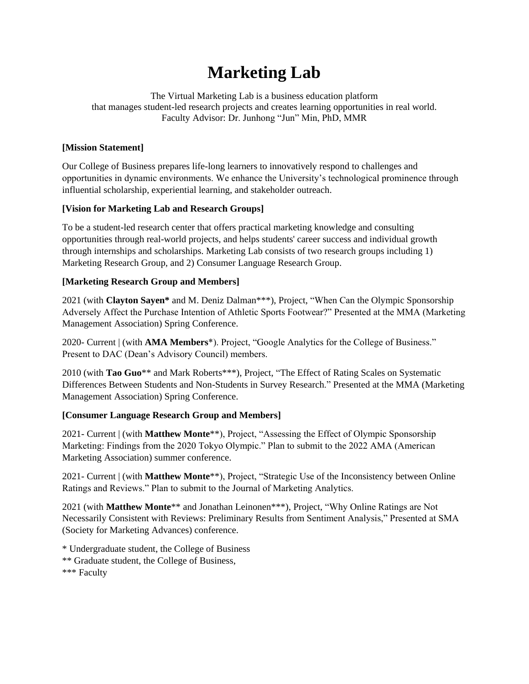# **Marketing Lab**

The Virtual Marketing Lab is a business education platform that manages student-led research projects and creates learning opportunities in real world. Faculty Advisor: Dr. Junhong "Jun" Min, PhD, MMR

### **[Mission Statement]**

Our College of Business prepares life-long learners to innovatively respond to challenges and opportunities in dynamic environments. We enhance the University's technological prominence through influential scholarship, experiential learning, and stakeholder outreach.

# **[Vision for Marketing Lab and Research Groups]**

To be a student-led research center that offers practical marketing knowledge and consulting opportunities through real-world projects, and helps students' career success and individual growth through internships and scholarships. Marketing Lab consists of two research groups including 1) Marketing Research Group, and 2) Consumer Language Research Group.

# **[Marketing Research Group and Members]**

2021 (with **Clayton Sayen\*** and M. Deniz Dalman\*\*\*), Project, "When Can the Olympic Sponsorship Adversely Affect the Purchase Intention of Athletic Sports Footwear?" Presented at the MMA (Marketing Management Association) Spring Conference.

2020- Current | (with **AMA Members**\*). Project, "Google Analytics for the College of Business." Present to DAC (Dean's Advisory Council) members.

2010 (with **Tao Guo**\*\* and Mark Roberts\*\*\*), Project, "The Effect of Rating Scales on Systematic Differences Between Students and Non-Students in Survey Research." Presented at the MMA (Marketing Management Association) Spring Conference.

### **[Consumer Language Research Group and Members]**

2021- Current | (with **Matthew Monte**\*\*), Project, "Assessing the Effect of Olympic Sponsorship Marketing: Findings from the 2020 Tokyo Olympic." Plan to submit to the 2022 AMA (American Marketing Association) summer conference.

2021- Current | (with **Matthew Monte**\*\*), Project, "Strategic Use of the Inconsistency between Online Ratings and Reviews." Plan to submit to the Journal of Marketing Analytics.

2021 (with **Matthew Monte**\*\* and Jonathan Leinonen\*\*\*), Project, "Why Online Ratings are Not Necessarily Consistent with Reviews: Preliminary Results from Sentiment Analysis," Presented at SMA (Society for Marketing Advances) conference.

\* Undergraduate student, the College of Business \*\* Graduate student, the College of Business, \*\*\* Faculty